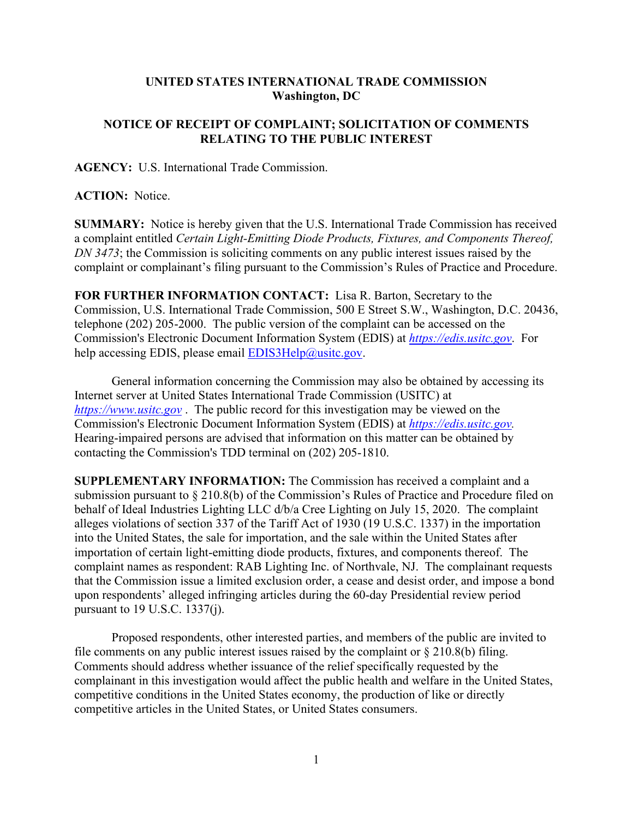## **UNITED STATES INTERNATIONAL TRADE COMMISSION Washington, DC**

## **NOTICE OF RECEIPT OF COMPLAINT; SOLICITATION OF COMMENTS RELATING TO THE PUBLIC INTEREST**

**AGENCY:** U.S. International Trade Commission.

**ACTION:** Notice.

**SUMMARY:** Notice is hereby given that the U.S. International Trade Commission has received a complaint entitled *Certain Light-Emitting Diode Products, Fixtures, and Components Thereof, DN 3473*; the Commission is soliciting comments on any public interest issues raised by the complaint or complainant's filing pursuant to the Commission's Rules of Practice and Procedure.

**FOR FURTHER INFORMATION CONTACT:** Lisa R. Barton, Secretary to the Commission, U.S. International Trade Commission, 500 E Street S.W., Washington, D.C. 20436, telephone (202) 205-2000. The public version of the complaint can be accessed on the Commission's Electronic Document Information System (EDIS) at *[https://edis.usitc.gov](https://edis.usitc.gov/)*. For help accessing EDIS, please email [EDIS3Help@usitc.gov.](mailto:EDIS3Help@usitc.gov)

General information concerning the Commission may also be obtained by accessing its Internet server at United States International Trade Commission (USITC) at *[https://www.usitc.gov](https://www.usitc.gov/)* . The public record for this investigation may be viewed on the Commission's Electronic Document Information System (EDIS) at *[https://edis.usitc.gov.](https://edis.usitc.gov/)* Hearing-impaired persons are advised that information on this matter can be obtained by contacting the Commission's TDD terminal on (202) 205-1810.

**SUPPLEMENTARY INFORMATION:** The Commission has received a complaint and a submission pursuant to § 210.8(b) of the Commission's Rules of Practice and Procedure filed on behalf of Ideal Industries Lighting LLC d/b/a Cree Lighting on July 15, 2020. The complaint alleges violations of section 337 of the Tariff Act of 1930 (19 U.S.C. 1337) in the importation into the United States, the sale for importation, and the sale within the United States after importation of certain light-emitting diode products, fixtures, and components thereof. The complaint names as respondent: RAB Lighting Inc. of Northvale, NJ. The complainant requests that the Commission issue a limited exclusion order, a cease and desist order, and impose a bond upon respondents' alleged infringing articles during the 60-day Presidential review period pursuant to 19 U.S.C. 1337(j).

Proposed respondents, other interested parties, and members of the public are invited to file comments on any public interest issues raised by the complaint or  $\S 210.8(b)$  filing. Comments should address whether issuance of the relief specifically requested by the complainant in this investigation would affect the public health and welfare in the United States, competitive conditions in the United States economy, the production of like or directly competitive articles in the United States, or United States consumers.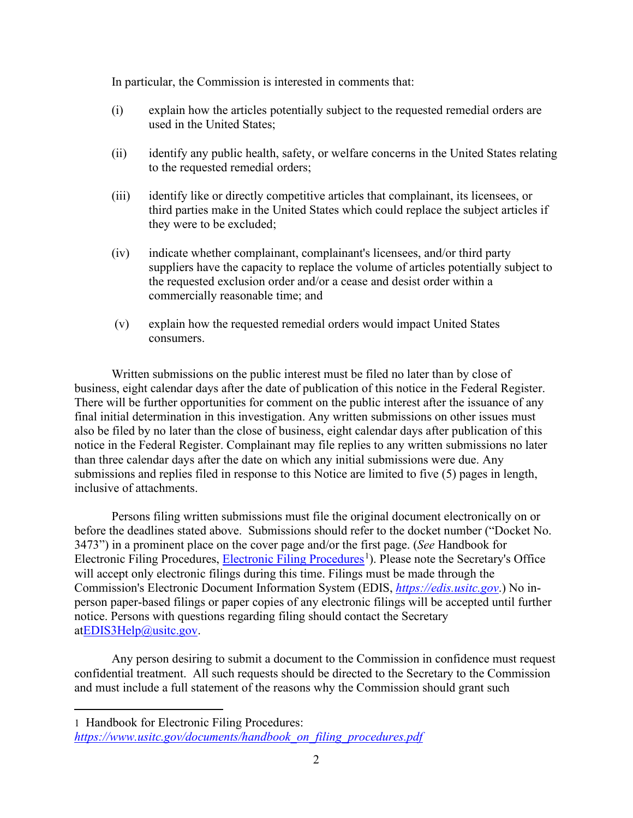In particular, the Commission is interested in comments that:

- (i) explain how the articles potentially subject to the requested remedial orders are used in the United States;
- (ii) identify any public health, safety, or welfare concerns in the United States relating to the requested remedial orders;
- (iii) identify like or directly competitive articles that complainant, its licensees, or third parties make in the United States which could replace the subject articles if they were to be excluded;
- (iv) indicate whether complainant, complainant's licensees, and/or third party suppliers have the capacity to replace the volume of articles potentially subject to the requested exclusion order and/or a cease and desist order within a commercially reasonable time; and
- (v) explain how the requested remedial orders would impact United States consumers.

Written submissions on the public interest must be filed no later than by close of business, eight calendar days after the date of publication of this notice in the Federal Register. There will be further opportunities for comment on the public interest after the issuance of any final initial determination in this investigation. Any written submissions on other issues must also be filed by no later than the close of business, eight calendar days after publication of this notice in the Federal Register. Complainant may file replies to any written submissions no later than three calendar days after the date on which any initial submissions were due. Any submissions and replies filed in response to this Notice are limited to five (5) pages in length, inclusive of attachments.

Persons filing written submissions must file the original document electronically on or before the deadlines stated above. Submissions should refer to the docket number ("Docket No. 3473") in a prominent place on the cover page and/or the first page. (*See* Handbook for Electronic Filing Procedures, [Electronic Filing Procedures](https://www.usitc.gov/documents/handbook_on_filing_procedures.pdf)<sup>[1](#page-1-0)</sup>). Please note the Secretary's Office will accept only electronic filings during this time. Filings must be made through the Commission's Electronic Document Information System (EDIS, *[https://edis.usitc.gov](https://edis.usitc.gov/)*.) No inperson paper-based filings or paper copies of any electronic filings will be accepted until further notice. Persons with questions regarding filing should contact the Secretary a[tEDIS3Help@usitc.gov.](mailto:EDIS3Help@usitc.gov)

Any person desiring to submit a document to the Commission in confidence must request confidential treatment. All such requests should be directed to the Secretary to the Commission and must include a full statement of the reasons why the Commission should grant such

<span id="page-1-0"></span><sup>1</sup> Handbook for Electronic Filing Procedures:

*[https://www.usitc.gov/documents/handbook\\_on\\_filing\\_procedures.pdf](https://www.usitc.gov/documents/handbook_on_filing_procedures.pdf)*